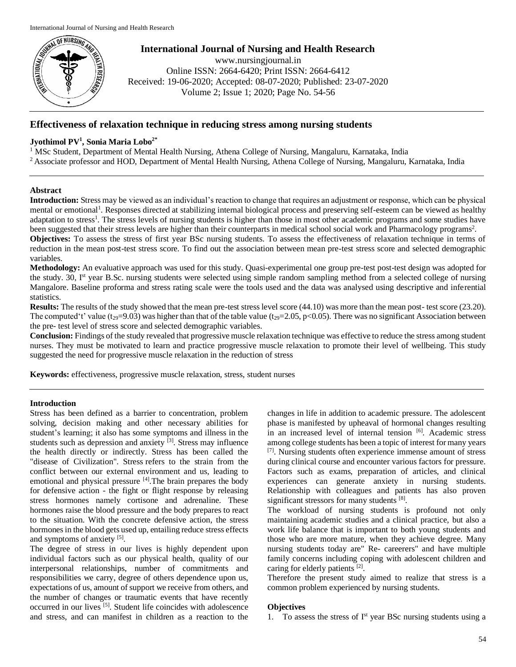

**International Journal of Nursing and Health Research** www.nursingjournal.in Online ISSN: 2664-6420; Print ISSN: 2664-6412

Received: 19-06-2020; Accepted: 08-07-2020; Published: 23-07-2020

Volume 2; Issue 1; 2020; Page No. 54-56

# **Effectiveness of relaxation technique in reducing stress among nursing students**

# **Jyothimol PV<sup>1</sup> , Sonia Maria Lobo2\***

<sup>1</sup> MSc Student, Department of Mental Health Nursing, Athena College of Nursing, Mangaluru, Karnataka, India <sup>2</sup> Associate professor and HOD, Department of Mental Health Nursing, Athena College of Nursing, Mangaluru, Karnataka, India

# **Abstract**

**Introduction:** Stress may be viewed as an individual's reaction to change that requires an adjustment or response, which can be physical mental or emotional<sup>1</sup>. Responses directed at stabilizing internal biological process and preserving self-esteem can be viewed as healthy adaptation to stress<sup>1</sup>. The stress levels of nursing students is higher than those in most other academic programs and some studies have been suggested that their stress levels are higher than their counterparts in medical school social work and Pharmacology programs<sup>2</sup>. **Objectives:** To assess the stress of first year BSc nursing students. To assess the effectiveness of relaxation technique in terms of

reduction in the mean post-test stress score. To find out the association between mean pre-test stress score and selected demographic variables.

**Methodology:** An evaluative approach was used for this study. Quasi-experimental one group pre-test post-test design was adopted for the study. 30, I<sup>st</sup> year B.Sc. nursing students were selected using simple random sampling method from a selected college of nursing Mangalore. Baseline proforma and stress rating scale were the tools used and the data was analysed using descriptive and inferential statistics.

**Results:** The results of the study showed that the mean pre-test stress level score (44.10) was more than the mean post- test score (23.20). The computed't' value ( $t_{29}=9.03$ ) was higher than that of the table value ( $t_{29}=2.05$ ,  $p<0.05$ ). There was no significant Association between the pre- test level of stress score and selected demographic variables.

**Conclusion:** Findings of the study revealed that progressive muscle relaxation technique was effective to reduce the stress among student nurses. They must be motivated to learn and practice progressive muscle relaxation to promote their level of wellbeing. This study suggested the need for progressive muscle relaxation in the reduction of stress

**Keywords:** effectiveness, progressive muscle relaxation, stress, student nurses

### **Introduction**

Stress has been defined as a barrier to concentration, problem solving, decision making and other necessary abilities for student's learning; it also has some symptoms and illness in the students such as depression and anxiety  $[3]$ . Stress may influence the health directly or indirectly. Stress has been called the "disease of Civilization". Stress refers to the strain from the conflict between our external environment and us, leading to emotional and physical pressure <sup>[4]</sup>. The brain prepares the body for defensive action - the fight or flight response by releasing stress hormones namely cortisone and adrenaline. These hormones raise the blood pressure and the body prepares to react to the situation. With the concrete defensive action, the stress hormones in the blood gets used up, entailing reduce stress effects and symptoms of anxiety [5].

The degree of stress in our lives is highly dependent upon individual factors such as our physical health, quality of our interpersonal relationships, number of commitments and responsibilities we carry, degree of others dependence upon us, expectations of us, amount of support we receive from others, and the number of changes or traumatic events that have recently occurred in our lives <sup>[5]</sup>. Student life coincides with adolescence and stress, and can manifest in children as a reaction to the changes in life in addition to academic pressure. The adolescent phase is manifested by upheaval of hormonal changes resulting in an increased level of internal tension [6]. Academic stress among college students has been a topic of interest for many years [7]. Nursing students often experience immense amount of stress during clinical course and encounter various factors for pressure. Factors such as exams, preparation of articles, and clinical experiences can generate anxiety in nursing students. Relationship with colleagues and patients has also proven significant stressors for many students [8].

The workload of nursing students is profound not only maintaining academic studies and a clinical practice, but also a work life balance that is important to both young students and those who are more mature, when they achieve degree. Many nursing students today are" Re- careerers" and have multiple family concerns including coping with adolescent children and caring for elderly patients [2].

Therefore the present study aimed to realize that stress is a common problem experienced by nursing students.

### **Objectives**

1. To assess the stress of  $I<sup>st</sup>$  year BSc nursing students using a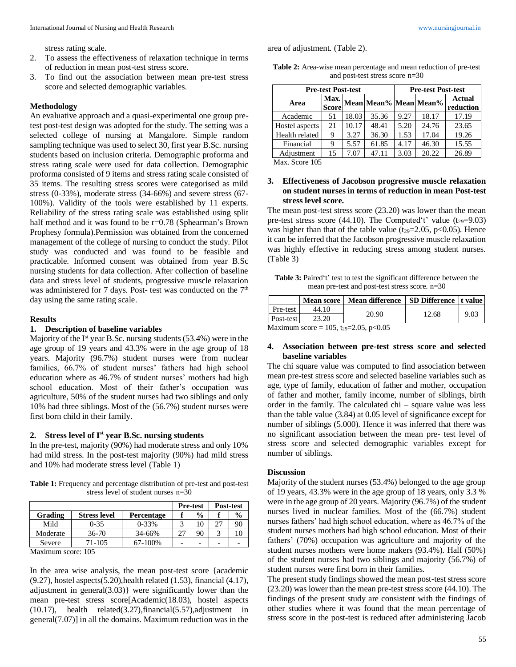area of adjustment. (Table 2).

stress rating scale.

- 2. To assess the effectiveness of relaxation technique in terms of reduction in mean post-test stress score.
- 3. To find out the association between mean pre-test stress score and selected demographic variables.

#### **Methodology**

An evaluative approach and a quasi-experimental one group pretest post-test design was adopted for the study. The setting was a selected college of nursing at Mangalore. Simple random sampling technique was used to select 30, first year B.Sc. nursing students based on inclusion criteria. Demographic proforma and stress rating scale were used for data collection. Demographic proforma consisted of 9 items and stress rating scale consisted of 35 items. The resulting stress scores were categorised as mild stress (0-33%), moderate stress (34-66%) and severe stress (67- 100%). Validity of the tools were established by 11 experts. Reliability of the stress rating scale was established using split half method and it was found to be r=0.78 (Sphearman's Brown Prophesy formula).Permission was obtained from the concerned management of the college of nursing to conduct the study. Pilot study was conducted and was found to be feasible and practicable. Informed consent was obtained from year B.Sc nursing students for data collection. After collection of baseline data and stress level of students, progressive muscle relaxation was administered for 7 days. Post- test was conducted on the  $7<sup>th</sup>$ day using the same rating scale.

#### **Results**

#### **1. Description of baseline variables**

Majority of the I<sup>st</sup> year B.Sc. nursing students (53.4%) were in the age group of 19 years and 43.3% were in the age group of 18 years. Majority (96.7%) student nurses were from nuclear families, 66.7% of student nurses' fathers had high school education where as 46.7% of student nurses' mothers had high school education. Most of their father's occupation was agriculture, 50% of the student nurses had two siblings and only 10% had three siblings. Most of the (56.7%) student nurses were first born child in their family.

## **2. Stress level of Ist year B.Sc. nursing students**

In the pre-test, majority (90%) had moderate stress and only 10% had mild stress. In the post-test majority (90%) had mild stress and 10% had moderate stress level (Table 1)

**Table 1:** Frequency and percentage distribution of pre-test and post-test stress level of student nurses n=30

|                                  |                     |            | <b>Pre-test</b> |               | Post-test                |               |  |
|----------------------------------|---------------------|------------|-----------------|---------------|--------------------------|---------------|--|
| Grading                          | <b>Stress level</b> | Percentage |                 | $\frac{0}{0}$ |                          | $\frac{6}{9}$ |  |
| Mild                             | $0 - 35$            | $0 - 33%$  |                 | 10            | 27                       | 90            |  |
| Moderate                         | $36 - 70$           | 34-66%     | 27              | 90            |                          |               |  |
| Severe                           | $71 - 105$          | 67-100%    |                 |               | $\overline{\phantom{0}}$ |               |  |
| <b>M.</b> $\ddot{ }$ 10 <i>E</i> |                     |            |                 |               |                          |               |  |

Maximum score: 105

In the area wise analysis, the mean post-test score {academic (9.27), hostel aspects(5.20),health related (1.53), financial (4.17), adjustment in general(3.03)} were significantly lower than the mean pre-test stress score[Academic(18.03), hostel aspects (10.17), health related(3.27),financial(5.57),adjustment in general(7.07)] in all the domains. Maximum reduction was in the

**Table 2:** Area-wise mean percentage and mean reduction of pre-test and post-test stress score n=30

| <b>Pre-test Post-test</b> |       |       |      |       | <b>Pre-test Post-test</b>  |  |  |  |
|---------------------------|-------|-------|------|-------|----------------------------|--|--|--|
| <b>Score</b>              |       |       |      |       | <b>Actual</b><br>reduction |  |  |  |
| 51                        | 18.03 | 35.36 | 9.27 | 18.17 | 17.19                      |  |  |  |
| 21                        | 10.17 | 48.41 | 5.20 | 24.76 | 23.65                      |  |  |  |
| 9                         | 3.27  | 36.30 | 1.53 | 17.04 | 19.26                      |  |  |  |
| 9                         | 5.57  | 61.85 | 4.17 | 46.30 | 15.55                      |  |  |  |
| 15                        | 7.07  | 47.11 | 3.03 | 20.22 | 26.89                      |  |  |  |
|                           |       | Max.  |      |       | Mean Mean% Mean Mean%      |  |  |  |

Max. Score 105

## **3. Effectiveness of Jacobson progressive muscle relaxation on student nurses in terms of reduction in mean Post-test stress level score.**

The mean post-test stress score (23.20) was lower than the mean pre-test stress score (44.10). The Computed't' value  $(t_{29}=9.03)$ was higher than that of the table value  $(t_{29}=2.05, p<0.05)$ . Hence it can be inferred that the Jacobson progressive muscle relaxation was highly effective in reducing stress among student nurses. (Table 3)

Table 3: Paired't' test to test the significant difference between the mean pre-test and post-test stress score. n=30

|             |       | Mean score   Mean difference   SD Difference   t value |       |      |  |
|-------------|-------|--------------------------------------------------------|-------|------|--|
| Pre-test    | 44.10 |                                                        |       | 9.03 |  |
| Post-test I | 23.20 | 20.90                                                  | 12.68 |      |  |
|             | .     |                                                        |       |      |  |

Maximum score = 105, t<sub>29</sub>=2.05, p<0.05

### **4. Association between pre-test stress score and selected baseline variables**

The chi square value was computed to find association between mean pre-test stress score and selected baseline variables such as age, type of family, education of father and mother, occupation of father and mother, family income, number of siblings, birth order in the family. The calculated chi – square value was less than the table value (3.84) at 0.05 level of significance except for number of siblings (5.000). Hence it was inferred that there was no significant association between the mean pre- test level of stress score and selected demographic variables except for number of siblings.

#### **Discussion**

Majority of the student nurses (53.4%) belonged to the age group of 19 years, 43.3% were in the age group of 18 years, only 3.3 % were in the age group of 20 years. Majority (96.7%) of the student nurses lived in nuclear families. Most of the (66.7%) student nurses fathers' had high school education, where as 46.7% of the student nurses mothers had high school education. Most of their fathers' (70%) occupation was agriculture and majority of the student nurses mothers were home makers (93.4%). Half (50%) of the student nurses had two siblings and majority (56.7%) of student nurses were first born in their families.

The present study findings showed the mean post-test stress score (23.20) was lower than the mean pre-test stress score (44.10). The findings of the present study are consistent with the findings of other studies where it was found that the mean percentage of stress score in the post-test is reduced after administering Jacob